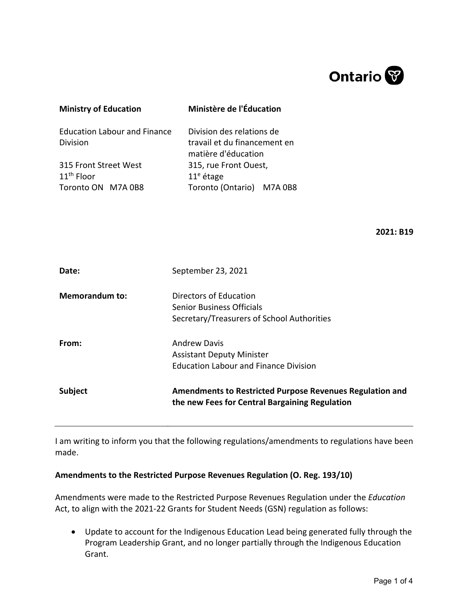

| <b>Ministry of Education</b>                                | Ministère de l'Éducation                                                         |
|-------------------------------------------------------------|----------------------------------------------------------------------------------|
| <b>Education Labour and Finance</b><br><b>Division</b>      | Division des relations de<br>travail et du financement en<br>matière d'éducation |
| 315 Front Street West<br>$11th$ Floor<br>Toronto ON M7A 0B8 | 315, rue Front Ouest,<br>$11e$ étage<br>Toronto (Ontario) M7A 0B8                |

**2021: B19**

| Date:                 | September 23, 2021                                                                                         |
|-----------------------|------------------------------------------------------------------------------------------------------------|
| <b>Memorandum to:</b> | Directors of Education<br><b>Senior Business Officials</b><br>Secretary/Treasurers of School Authorities   |
| From:                 | <b>Andrew Davis</b><br><b>Assistant Deputy Minister</b><br><b>Education Labour and Finance Division</b>    |
| <b>Subject</b>        | Amendments to Restricted Purpose Revenues Regulation and<br>the new Fees for Central Bargaining Regulation |

I am writing to inform you that the following regulations/amendments to regulations have been made.

## **Amendments to the Restricted Purpose Revenues Regulation (O. Reg. 193/10)**

Amendments were made to the Restricted Purpose Revenues Regulation under the *Education*  Act, to align with the 2021-22 Grants for Student Needs (GSN) regulation as follows:

• Update to account for the Indigenous Education Lead being generated fully through the Program Leadership Grant, and no longer partially through the Indigenous Education Grant.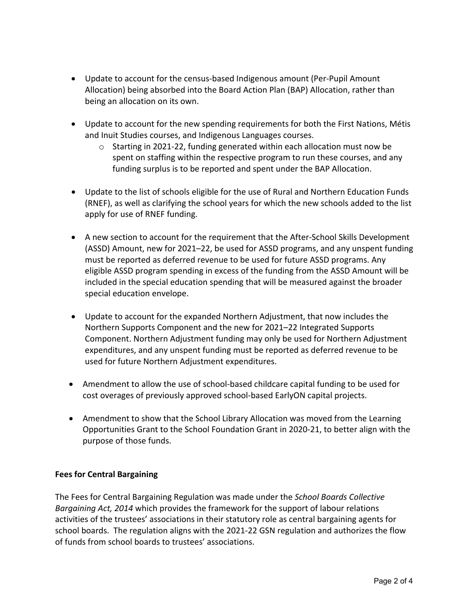- Update to account for the census-based Indigenous amount (Per-Pupil Amount Allocation) being absorbed into the Board Action Plan (BAP) Allocation, rather than being an allocation on its own.
- Update to account for the new spending requirements for both the First Nations, Métis and Inuit Studies courses, and Indigenous Languages courses.
	- $\circ$  Starting in 2021-22, funding generated within each allocation must now be spent on staffing within the respective program to run these courses, and any funding surplus is to be reported and spent under the BAP Allocation.
- Update to the list of schools eligible for the use of Rural and Northern Education Funds (RNEF), as well as clarifying the school years for which the new schools added to the list apply for use of RNEF funding.
- A new section to account for the requirement that the After-School Skills Development (ASSD) Amount, new for 2021–22, be used for ASSD programs, and any unspent funding must be reported as deferred revenue to be used for future ASSD programs. Any eligible ASSD program spending in excess of the funding from the ASSD Amount will be included in the special education spending that will be measured against the broader special education envelope.
- Update to account for the expanded Northern Adjustment, that now includes the Northern Supports Component and the new for 2021–22 Integrated Supports Component. Northern Adjustment funding may only be used for Northern Adjustment expenditures, and any unspent funding must be reported as deferred revenue to be used for future Northern Adjustment expenditures.
- Amendment to allow the use of school-based childcare capital funding to be used for cost overages of previously approved school-based EarlyON capital projects.
- Amendment to show that the School Library Allocation was moved from the Learning Opportunities Grant to the School Foundation Grant in 2020-21, to better align with the purpose of those funds.

## **Fees for Central Bargaining**

The Fees for Central Bargaining Regulation was made under the *School Boards Collective Bargaining Act, 2014* which provides the framework for the support of labour relations activities of the trustees' associations in their statutory role as central bargaining agents for school boards. The regulation aligns with the 2021-22 GSN regulation and authorizes the flow of funds from school boards to trustees' associations.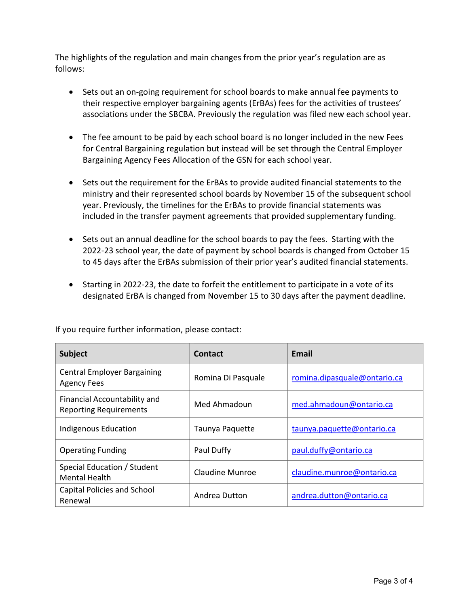The highlights of the regulation and main changes from the prior year's regulation are as follows:

- Sets out an on-going requirement for school boards to make annual fee payments to their respective employer bargaining agents (ErBAs) fees for the activities of trustees' associations under the SBCBA. Previously the regulation was filed new each school year.
- The fee amount to be paid by each school board is no longer included in the new Fees for Central Bargaining regulation but instead will be set through the Central Employer Bargaining Agency Fees Allocation of the GSN for each school year.
- Sets out the requirement for the ErBAs to provide audited financial statements to the ministry and their represented school boards by November 15 of the subsequent school year. Previously, the timelines for the ErBAs to provide financial statements was included in the transfer payment agreements that provided supplementary funding.
- Sets out an annual deadline for the school boards to pay the fees. Starting with the 2022-23 school year, the date of payment by school boards is changed from October 15 to 45 days after the ErBAs submission of their prior year's audited financial statements.
- Starting in 2022-23, the date to forfeit the entitlement to participate in a vote of its designated ErBA is changed from November 15 to 30 days after the payment deadline.

| <b>Subject</b>                                                | Contact            | <b>Email</b>                 |
|---------------------------------------------------------------|--------------------|------------------------------|
| <b>Central Employer Bargaining</b><br><b>Agency Fees</b>      | Romina Di Pasquale | romina.dipasquale@ontario.ca |
| Financial Accountability and<br><b>Reporting Requirements</b> | Med Ahmadoun       | med.ahmadoun@ontario.ca      |
| <b>Indigenous Education</b>                                   | Taunya Paquette    | taunya.paquette@ontario.ca   |
| <b>Operating Funding</b>                                      | Paul Duffy         | paul.duffy@ontario.ca        |
| Special Education / Student<br><b>Mental Health</b>           | Claudine Munroe    | claudine.munroe@ontario.ca   |
| Capital Policies and School<br>Renewal                        | Andrea Dutton      | andrea.dutton@ontario.ca     |

If you require further information, please contact: